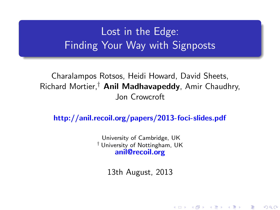# Lost in the Edge: Finding Your Way with Signposts

#### Charalampos Rotsos, Heidi Howard, David Sheets, Richard Mortier,<sup>†</sup> Anil Madhavapeddy, Amir Chaudhry, Jon Crowcroft

<http://anil.recoil.org/papers/2013-foci-slides.pdf>

University of Cambridge, UK † University of Nottingham, UK <anil@recoil.org>

13th August, 2013

K ロ K K @ K K X B K X B X → B

 $299$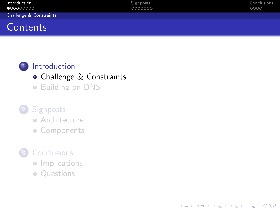| Introduction<br>$\bullet$ 00000000 | Signposts<br>0000000 | Conclusions<br>0000 |
|------------------------------------|----------------------|---------------------|
| Challenge & Constraints            |                      |                     |
| Contents                           |                      |                     |

K ロ ▶ K @ ▶ K 할 > K 할 > 1 할 > 1 이익어

#### 1 [Introduction](#page-1-0)

- [Challenge & Constraints](#page-1-0)
- **•** [Building on DNS](#page-11-0)

## 2 [Signposts](#page-18-0)

- **•** [Architecture](#page-18-0)
- **[Components](#page-22-0)**

## **[Conclusions](#page-31-0)**

- **·** [Implications](#page-31-0)
- <span id="page-1-0"></span>• [Questions](#page-33-0)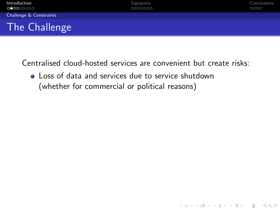

**KORK STRATER STRAKER** 

<span id="page-2-0"></span>**.** Loss of data and services due to service shutdown (whether for commercial or political reasons)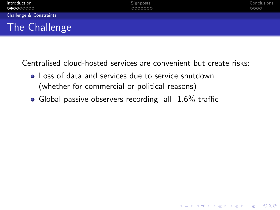

**KORK STRATER STRAKER** 

- **.** Loss of data and services due to service shutdown (whether for commercial or political reasons)
- <span id="page-3-0"></span>• Global passive observers recording  $-\frac{1}{2}$  1.6% traffic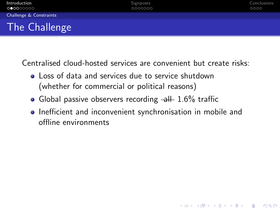- **.** Loss of data and services due to service shutdown (whether for commercial or political reasons)
- Global passive observers recording  $-\frac{1}{2}$  1.6% traffic
- <span id="page-4-0"></span>**•** Inefficient and inconvenient synchronisation in mobile and offline environments

**KORK STRATER STRAKER**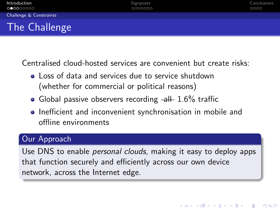- **•** Loss of data and services due to service shutdown (whether for commercial or political reasons)
- Global passive observers recording  $-\frac{1}{2}$  1.6% traffic
- **•** Inefficient and inconvenient synchronisation in mobile and offline environments

#### Our Approach

<span id="page-5-0"></span>Use DNS to enable *personal clouds*, making it easy to deploy apps that function securely and efficiently across our own device network, across the Internet edge.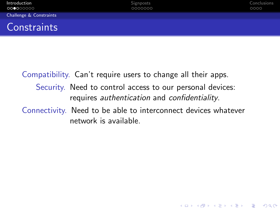| Introduction<br>000000000 | Signposts<br>0000000 | Conclusions<br>0000 |
|---------------------------|----------------------|---------------------|
| Challenge & Constraints   |                      |                     |
| <b>Constraints</b>        |                      |                     |

<span id="page-6-0"></span>Compatibility. Can't require users to change all their apps. Security. Need to control access to our personal devices: requires authentication and confidentiality. Connectivity. Need to be able to interconnect devices whatever network is available.

**KORK STRATER STRAKER**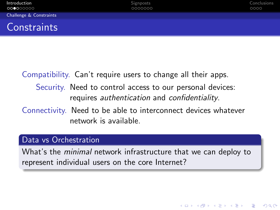| Introduction<br>000000000 | <b>Signposts</b><br>0000000 | Conclusions<br>0000 |
|---------------------------|-----------------------------|---------------------|
| Challenge & Constraints   |                             |                     |
| <b>Constraints</b>        |                             |                     |

Compatibility. Can't require users to change all their apps. Security. Need to control access to our personal devices: requires authentication and confidentiality. Connectivity. Need to be able to interconnect devices whatever

network is available.

#### Data vs Orchestration

<span id="page-7-0"></span>What's the *minimal* network infrastructure that we can deploy to represent individual users on the core Internet?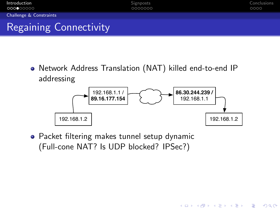

Network Address Translation (NAT) killed end-to-end IP addressing



**KORK STRATER STRAKER** 

<span id="page-8-0"></span>• Packet filtering makes tunnel setup dynamic (Full-cone NAT? Is UDP blocked? IPSec?)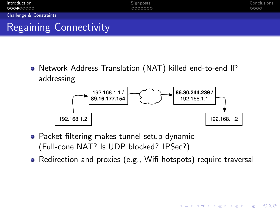

Network Address Translation (NAT) killed end-to-end IP addressing



- Packet filtering makes tunnel setup dynamic (Full-cone NAT? Is UDP blocked? IPSec?)
- <span id="page-9-0"></span>• Redirection and proxies (e.g., Wifi hotspots) require traversal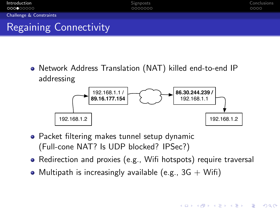

Network Address Translation (NAT) killed end-to-end IP addressing



- Packet filtering makes tunnel setup dynamic (Full-cone NAT? Is UDP blocked? IPSec?)
- Redirection and proxies (e.g., Wifi hotspots) require traversal

**KORK ERKER ADE YOUR** 

<span id="page-10-0"></span>• Multipath is increasingly available (e.g.,  $3G + W$ ifi)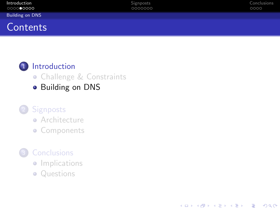| Introduction<br>0000●0000 | <b>Signposts</b><br>0000000 | Conclusions<br>0000 |
|---------------------------|-----------------------------|---------------------|
| <b>Building on DNS</b>    |                             |                     |
| Contents                  |                             |                     |

K ロ ▶ K @ ▶ K 할 > K 할 > 1 할 > 1 이익어



# 1 [Introduction](#page-1-0)

- **[Challenge & Constraints](#page-1-0)**
- **•** [Building on DNS](#page-11-0)

### 2 [Signposts](#page-18-0)

- **•** [Architecture](#page-18-0)
- **[Components](#page-22-0)**

# **[Conclusions](#page-31-0)**

- **·** [Implications](#page-31-0)
- <span id="page-11-0"></span>• [Questions](#page-33-0)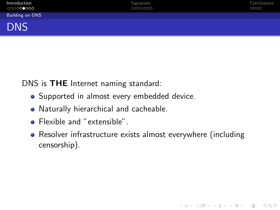| Introduction<br>000000000 | Signposts<br>0000000 | Conclusions<br>0000 |
|---------------------------|----------------------|---------------------|
| Building on DNS           |                      |                     |
| <b>DNS</b>                |                      |                     |

DNS is THE Internet naming standard:

- Supported in almost every embedded device.
- Naturally hierarchical and cacheable.
- Flexible and "extensible".
- <span id="page-12-0"></span>• Resolver infrastructure exists almost everywhere (including censorship).

K ロ ▶ K @ ▶ K 할 > K 할 > 1 할 > 1 이익어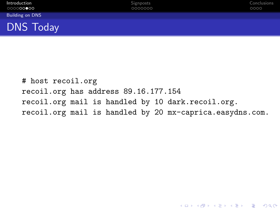| Introduction<br>○○○○○○●○○ | Signposts<br>0000000 | Conclusions<br>0000 |
|---------------------------|----------------------|---------------------|
| <b>Building on DNS</b>    |                      |                     |
| <b>DNS Today</b>          |                      |                     |

<span id="page-13-0"></span># host recoil.org recoil.org has address 89.16.177.154 recoil.org mail is handled by 10 dark.recoil.org. recoil.org mail is handled by 20 mx-caprica.easydns.com.

K ロ ▶ K @ ▶ K 할 > K 할 > 1 할 > 1 이익어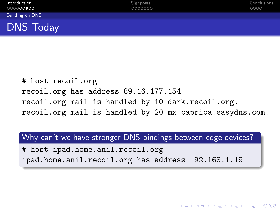| Introduction<br>000000000 | Signposts<br>0000000 | Conclusions<br>0000 |
|---------------------------|----------------------|---------------------|
| Building on DNS           |                      |                     |
| <b>DNS Today</b>          |                      |                     |

# host recoil.org recoil.org has address 89.16.177.154 recoil.org mail is handled by 10 dark.recoil.org. recoil.org mail is handled by 20 mx-caprica.easydns.com.

Why can't we have stronger DNS bindings between edge devices?

**K ロ ▶ K @ ▶ K 할 X X 할 X 및 할 X X Q Q O** 

<span id="page-14-0"></span># host ipad.home.anil.recoil.org ipad.home.anil.recoil.org has address 192.168.1.19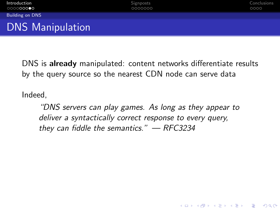| Introduction<br>○○○○○○○●○ | Signposts<br>0000000 | Conclusions<br>0000 |
|---------------------------|----------------------|---------------------|
| <b>Building on DNS</b>    |                      |                     |
| <b>DNS Manipulation</b>   |                      |                     |

DNS is already manipulated: content networks differentiate results by the query source so the nearest CDN node can serve data

Indeed,

<span id="page-15-0"></span>"DNS servers can play games. As long as they appear to deliver a syntactically correct response to every query, they can fiddle the semantics."  $-$  RFC3234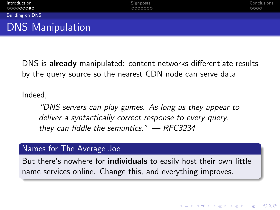| Introduction<br>○○○○○○○●○ | Signposts<br>0000000 | Conclusions<br>0000 |
|---------------------------|----------------------|---------------------|
| <b>Building on DNS</b>    |                      |                     |
| <b>DNS Manipulation</b>   |                      |                     |

DNS is already manipulated: content networks differentiate results by the query source so the nearest CDN node can serve data

Indeed,

"DNS servers can play games. As long as they appear to deliver a syntactically correct response to every query, they can fiddle the semantics."  $-$  RFC3234

#### Names for The Average Joe

<span id="page-16-0"></span>But there's nowhere for **individuals** to easily host their own little name services online. Change this, and everything improves.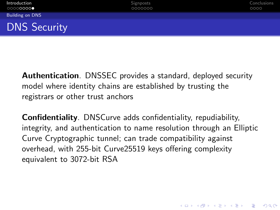| Introduction<br>00000000● | Signposts<br>0000000 | Conclusions<br>0000 |
|---------------------------|----------------------|---------------------|
| <b>Building on DNS</b>    |                      |                     |
| <b>DNS Security</b>       |                      |                     |

Authentication. DNSSEC provides a standard, deployed security model where identity chains are established by trusting the registrars or other trust anchors

<span id="page-17-0"></span>Confidentiality. DNSCurve adds confidentiality, repudiability, integrity, and authentication to name resolution through an Elliptic Curve Cryptographic tunnel; can trade compatibility against overhead, with 255-bit Curve25519 keys offering complexity equivalent to 3072-bit RSA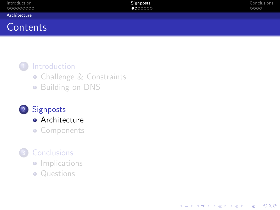| Introduction<br>000000000 | Signposts<br>0000000 | Conclusions<br>0000 |
|---------------------------|----------------------|---------------------|
| Architecture              |                      |                     |
| $\sim$                    |                      |                     |

K ロ ▶ K @ ▶ K 할 > K 할 > 1 할 > 1 이익어

# **Contents**

#### 1 [Introduction](#page-1-0)

- **[Challenge & Constraints](#page-1-0)**
- **•** [Building on DNS](#page-11-0)

# 2 [Signposts](#page-18-0)

- **•** [Architecture](#page-18-0)
- **[Components](#page-22-0)**

# **[Conclusions](#page-31-0)**

- **·** [Implications](#page-31-0)
- <span id="page-18-0"></span>• [Questions](#page-33-0)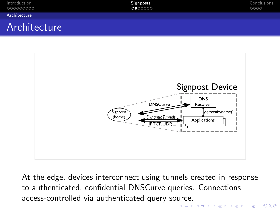| Introduction<br>000000000 | Signposts<br>0000000 | Conclusions<br>0000 |
|---------------------------|----------------------|---------------------|
| Architecture              |                      |                     |
| Architecture              |                      |                     |



<span id="page-19-0"></span>At the edge, devices interconnect using tunnels created in response to authenticated, confidential DNSCurve queries. Connections access-controlled via authenticated query so[urc](#page-18-0)[e.](#page-20-0)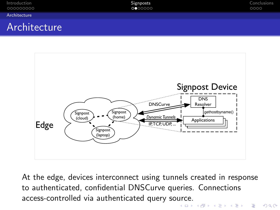| Introduction<br>000000000 | Signposts<br>0000000 | Conclusions<br>0000 |
|---------------------------|----------------------|---------------------|
| Architecture              |                      |                     |
| Architecture              |                      |                     |



<span id="page-20-0"></span>At the edge, devices interconnect using tunnels created in response to authenticated, confidential DNSCurve queries. Connections access-controlled via authenticated query so[urc](#page-19-0)[e.](#page-21-0)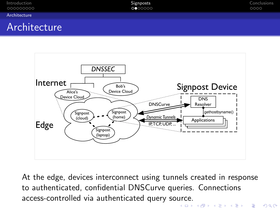| Introduction<br>000000000 | Signposts<br>0000000 | Conclusions<br>0000 |
|---------------------------|----------------------|---------------------|
| Architecture              |                      |                     |
|                           |                      |                     |





<span id="page-21-0"></span>At the edge, devices interconnect using tunnels created in response to authenticated, confidential DNSCurve queries. Connections access-controlled via authenticated query so[urc](#page-20-0)[e.](#page-22-0)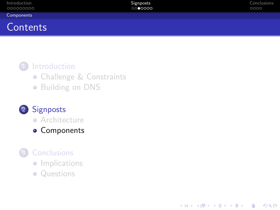| Introduction<br>000000000 | Signposts<br>0000000 | Conclusions<br>0000 |
|---------------------------|----------------------|---------------------|
| Components                |                      |                     |
| Contents                  |                      |                     |

K ロ ▶ K @ ▶ K 할 > K 할 > 1 할 > 1 이익어

#### 1 [Introduction](#page-1-0)

- **[Challenge & Constraints](#page-1-0)**
- **•** [Building on DNS](#page-11-0)

# 2 [Signposts](#page-18-0)

- **•** [Architecture](#page-18-0)
- **[Components](#page-22-0)**

# **[Conclusions](#page-31-0)**

- **·** [Implications](#page-31-0)
- <span id="page-22-0"></span>• [Questions](#page-33-0)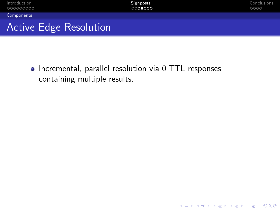| Introduction<br>000000000     | Signposts<br>0000000 | Conclusions<br>0000 |
|-------------------------------|----------------------|---------------------|
| Components                    |                      |                     |
| <b>Active Edge Resolution</b> |                      |                     |

K ロ ▶ K @ ▶ K 할 ▶ K 할 ▶ | 할 | ⊙Q @

<span id="page-23-0"></span>• Incremental, parallel resolution via 0 TTL responses containing multiple results.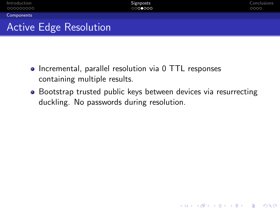

- Incremental, parallel resolution via 0 TTL responses containing multiple results.
- <span id="page-24-0"></span>• Bootstrap trusted public keys between devices via resurrecting duckling. No passwords during resolution.

**KORK STRATER STRAKER**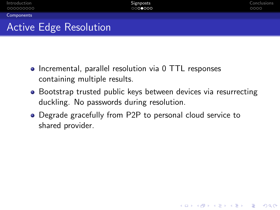

- Incremental, parallel resolution via 0 TTL responses containing multiple results.
- Bootstrap trusted public keys between devices via resurrecting duckling. No passwords during resolution.

**KORK STRATER STRAKER** 

<span id="page-25-0"></span>Degrade gracefully from P2P to personal cloud service to shared provider.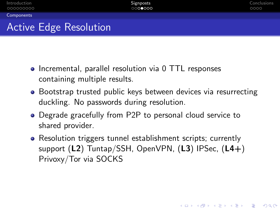Active Edge Resolution

- Incremental, parallel resolution via 0 TTL responses containing multiple results.
- Bootstrap trusted public keys between devices via resurrecting duckling. No passwords during resolution.
- Degrade gracefully from P2P to personal cloud service to shared provider.
- <span id="page-26-0"></span>• Resolution triggers tunnel establishment scripts; currently support (L2) Tuntap/SSH, OpenVPN, (L3) IPSec, (L4+) Privoxy/Tor via SOCKS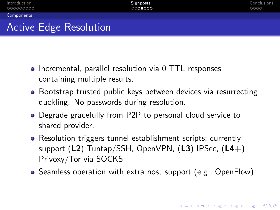# Active Edge Resolution

- Incremental, parallel resolution via 0 TTL responses containing multiple results.
- Bootstrap trusted public keys between devices via resurrecting duckling. No passwords during resolution.
- Degrade gracefully from P2P to personal cloud service to shared provider.
- Resolution triggers tunnel establishment scripts; currently support (L2) Tuntap/SSH, OpenVPN, (L3) IPSec, (L4+) Privoxy/Tor via SOCKS
- <span id="page-27-0"></span>Seamless operation with extra host support (e.g., OpenFlow)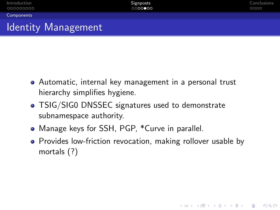# Identity Management

- Automatic, internal key management in a personal trust hierarchy simplifies hygiene.
- TSIG/SIG0 DNSSEC signatures used to demonstrate subnamespace authority.
- Manage keys for SSH, PGP, \*Curve in parallel.
- <span id="page-28-0"></span>• Provides low-friction revocation, making rollover usable by mortals (?)

**KORK STRATER STRAKER**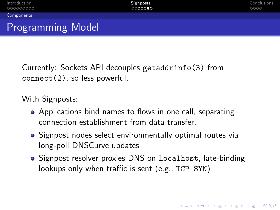Currently: Sockets API decouples getaddrinfo(3) from connect(2), so less powerful.

With Signposts:

- Applications bind names to flows in one call, separating connection establishment from data transfer,
- Signpost nodes select environmentally optimal routes via long-poll DNSCurve updates
- <span id="page-29-0"></span>• Signpost resolver proxies DNS on localhost, late-binding lookups only when traffic is sent (e.g., TCP SYN)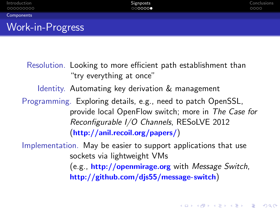| Introduction<br>000000000 | Signposts<br>000000 | Conclusions<br>0000 |
|---------------------------|---------------------|---------------------|
| Components                |                     |                     |
| Work-in-Progress          |                     |                     |

Resolution. Looking to more efficient path establishment than "try everything at once"

Identity. Automating key derivation & management

Programming. Exploring details, e.g., need to patch OpenSSL, provide local OpenFlow switch; more in The Case for Reconfigurable I/O Channels, RESoLVE 2012 (<http://anil.recoil.org/papers/>)

<span id="page-30-0"></span>Implementation. May be easier to support applications that use sockets via lightweight VMs

> (e.g., **<http://openmirage.org>** with Message Switch, <http://github.com/djs55/message-switch>)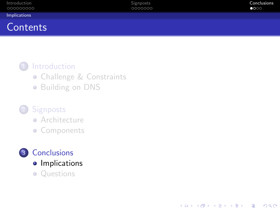| Introduction<br>000000000 | Signposts<br>0000000 | Conclusions<br>$\bullet$ 000 |
|---------------------------|----------------------|------------------------------|
| Implications              |                      |                              |
| Contents                  |                      |                              |

K ロ ▶ K @ ▶ K 할 > K 할 > 1 할 > 1 이익어

#### 1 [Introduction](#page-1-0)

- **[Challenge & Constraints](#page-1-0)**
- **•** [Building on DNS](#page-11-0)

## 2 [Signposts](#page-18-0)

- **•** [Architecture](#page-18-0)
- **[Components](#page-22-0)**



<span id="page-31-0"></span>• [Questions](#page-33-0)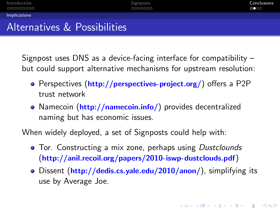Signpost uses DNS as a device-facing interface for compatibility – but could support alternative mechanisms for upstream resolution:

- Perspectives (<http://perspectives-project.org/>) offers a P2P trust network
- Namecoin (<http://namecoin.info/>) provides decentralized naming but has economic issues.

When widely deployed, a set of Signposts could help with:

- Tor. Constructing a mix zone, perhaps using Dustclounds (<http://anil.recoil.org/papers/2010-iswp-dustclouds.pdf>)
- <span id="page-32-0"></span>• Dissent (<http://dedis.cs.yale.edu/2010/anon/>), simplifying its use by Average Joe.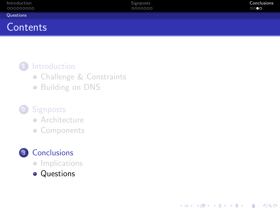| Introduction<br>000000000 | Signposts<br>0000000 | Conclusions<br>$\circ\circ\bullet\circ$ |
|---------------------------|----------------------|-----------------------------------------|
| Questions                 |                      |                                         |
| Contents                  |                      |                                         |

K ロ ▶ K @ ▶ K 할 > K 할 > 1 할 > 1 이익어

#### 1 [Introduction](#page-1-0)

- **[Challenge & Constraints](#page-1-0)**
- **•** [Building on DNS](#page-11-0)

#### 2 [Signposts](#page-18-0)

- **•** [Architecture](#page-18-0)
- **[Components](#page-22-0)**

# 3 [Conclusions](#page-31-0)

- **·** [Implications](#page-31-0)
- <span id="page-33-0"></span>• [Questions](#page-33-0)